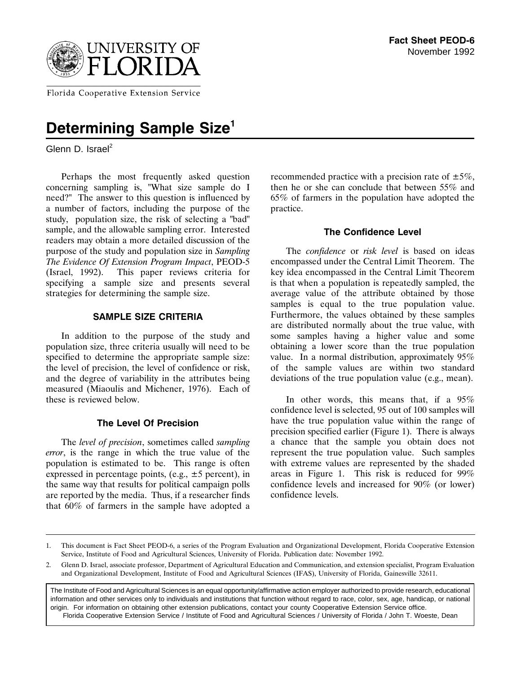

Florida Cooperative Extension Service

# **Determining Sample Size<sup>1</sup>**

Glenn D. Israel $<sup>2</sup>$ </sup>

Perhaps the most frequently asked question concerning sampling is, "What size sample do I need?" The answer to this question is influenced by a number of factors, including the purpose of the study, population size, the risk of selecting a "bad" sample, and the allowable sampling error. Interested readers may obtain a more detailed discussion of the purpose of the study and population size in *Sampling The Evidence Of Extension Program Impact*, PEOD-5 (Israel, 1992). This paper reviews criteria for specifying a sample size and presents several strategies for determining the sample size.

# **SAMPLE SIZE CRITERIA**

In addition to the purpose of the study and population size, three criteria usually will need to be specified to determine the appropriate sample size: the level of precision, the level of confidence or risk, and the degree of variability in the attributes being measured (Miaoulis and Michener, 1976). Each of these is reviewed below.

# **The Level Of Precision**

The *level of precision*, sometimes called *sampling error*, is the range in which the true value of the population is estimated to be. This range is often expressed in percentage points, (e.g.,  $\pm 5$  percent), in the same way that results for political campaign polls are reported by the media. Thus, if a researcher finds that 60% of farmers in the sample have adopted a

recommended practice with a precision rate of  $\pm 5\%$ , then he or she can conclude that between 55% and 65% of farmers in the population have adopted the practice.

# **The Confidence Level**

The *confidence* or *risk level* is based on ideas encompassed under the Central Limit Theorem. The key idea encompassed in the Central Limit Theorem is that when a population is repeatedly sampled, the average value of the attribute obtained by those samples is equal to the true population value. Furthermore, the values obtained by these samples are distributed normally about the true value, with some samples having a higher value and some obtaining a lower score than the true population value. In a normal distribution, approximately 95% of the sample values are within two standard deviations of the true population value (e.g., mean).

In other words, this means that, if a 95% confidence level is selected, 95 out of 100 samples will have the true population value within the range of precision specified earlier (Figure 1). There is always a chance that the sample you obtain does not represent the true population value. Such samples with extreme values are represented by the shaded areas in Figure 1. This risk is reduced for 99% confidence levels and increased for 90% (or lower) confidence levels.

The Institute of Food and Agricultural Sciences is an equal opportunity/affirmative action employer authorized to provide research, educational information and other services only to individuals and institutions that function without regard to race, color, sex, age, handicap, or national origin. For information on obtaining other extension publications, contact your county Cooperative Extension Service office. Florida Cooperative Extension Service / Institute of Food and Agricultural Sciences / University of Florida / John T. Woeste, Dean

<sup>1.</sup> This document is Fact Sheet PEOD-6, a series of the Program Evaluation and Organizational Development, Florida Cooperative Extension Service, Institute of Food and Agricultural Sciences, University of Florida. Publication date: November 1992.

<sup>2.</sup> Glenn D. Israel, associate professor, Department of Agricultural Education and Communication, and extension specialist, Program Evaluation and Organizational Development, Institute of Food and Agricultural Sciences (IFAS), University of Florida, Gainesville 32611.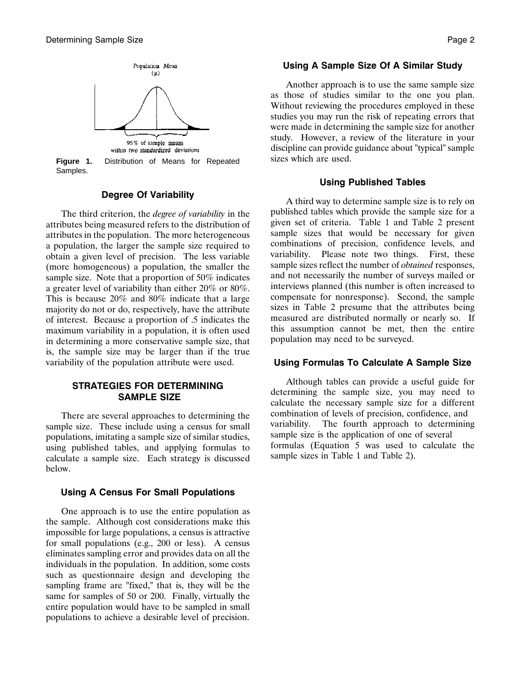

**Figure 1.** Distribution of Means for Repeated Samples.

# **Degree Of Variability**

The third criterion, the *degree of variability* in the attributes being measured refers to the distribution of attributes in the population. The more heterogeneous a population, the larger the sample size required to obtain a given level of precision. The less variable (more homogeneous) a population, the smaller the sample size. Note that a proportion of 50% indicates a greater level of variability than either 20% or 80%. This is because 20% and 80% indicate that a large majority do not or do, respectively, have the attribute of interest. Because a proportion of .5 indicates the maximum variability in a population, it is often used in determining a more conservative sample size, that is, the sample size may be larger than if the true variability of the population attribute were used.

## **STRATEGIES FOR DETERMINING SAMPLE SIZE**

There are several approaches to determining the sample size. These include using a census for small populations, imitating a sample size of similar studies, using published tables, and applying formulas to calculate a sample size. Each strategy is discussed below.

### **Using A Census For Small Populations**

One approach is to use the entire population as the sample. Although cost considerations make this impossible for large populations, a census is attractive for small populations (e.g., 200 or less). A census eliminates sampling error and provides data on all the individuals in the population. In addition, some costs such as questionnaire design and developing the sampling frame are "fixed," that is, they will be the same for samples of 50 or 200. Finally, virtually the entire population would have to be sampled in small populations to achieve a desirable level of precision.

# **Using A Sample Size Of A Similar Study**

Another approach is to use the same sample size as those of studies similar to the one you plan. Without reviewing the procedures employed in these studies you may run the risk of repeating errors that were made in determining the sample size for another study. However, a review of the literature in your discipline can provide guidance about "typical" sample sizes which are used.

#### **Using Published Tables**

A third way to determine sample size is to rely on published tables which provide the sample size for a given set of criteria. Table 1 and Table 2 present sample sizes that would be necessary for given combinations of precision, confidence levels, and variability. Please note two things. First, these sample sizes reflect the number of *obtained* responses, and not necessarily the number of surveys mailed or interviews planned (this number is often increased to compensate for nonresponse). Second, the sample sizes in Table 2 presume that the attributes being measured are distributed normally or nearly so. If this assumption cannot be met, then the entire population may need to be surveyed.

#### **Using Formulas To Calculate A Sample Size**

Although tables can provide a useful guide for determining the sample size, you may need to calculate the necessary sample size for a different combination of levels of precision, confidence, and variability. The fourth approach to determining sample size is the application of one of several formulas (Equation 5 was used to calculate the sample sizes in Table 1 and Table 2).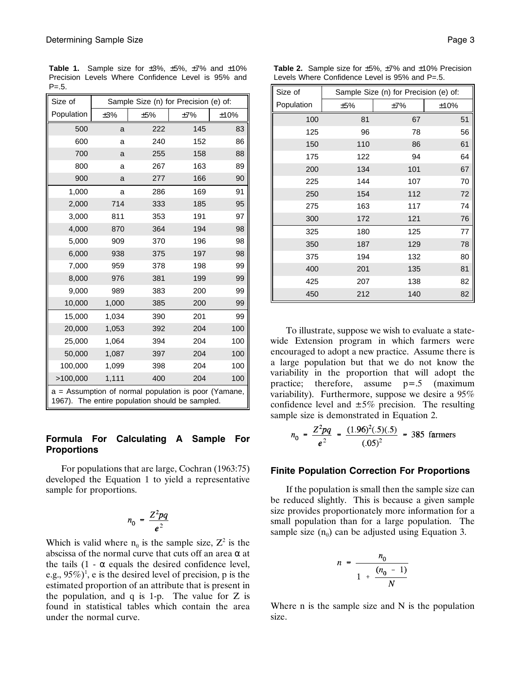| Size of                                                                                                 | Sample Size (n) for Precision (e) of: |            |     |      |  |  |
|---------------------------------------------------------------------------------------------------------|---------------------------------------|------------|-----|------|--|--|
| Population                                                                                              | ±3%                                   | ±5%<br>±7% |     | ±10% |  |  |
| 500                                                                                                     | a                                     | 222        | 145 | 83   |  |  |
| 600                                                                                                     | a                                     | 240        | 152 | 86   |  |  |
| 700                                                                                                     | a                                     | 255        | 158 | 88   |  |  |
| 800                                                                                                     | a                                     | 267        | 163 | 89   |  |  |
| 900                                                                                                     | a                                     | 277        | 166 | 90   |  |  |
| 1,000                                                                                                   | a                                     | 286        | 169 | 91   |  |  |
| 2,000                                                                                                   | 714                                   | 333        | 185 | 95   |  |  |
| 3,000                                                                                                   | 811                                   | 353        | 191 | 97   |  |  |
| 4,000                                                                                                   | 870                                   | 364        | 194 | 98   |  |  |
| 5,000                                                                                                   | 909                                   | 370        | 196 | 98   |  |  |
| 6,000                                                                                                   | 938                                   | 375        | 197 | 98   |  |  |
| 7,000                                                                                                   | 959                                   | 378        | 198 | 99   |  |  |
| 8,000                                                                                                   | 976                                   | 381        | 199 | 99   |  |  |
| 9,000                                                                                                   | 989                                   | 383        | 200 | 99   |  |  |
| 10,000                                                                                                  | 1,000                                 | 385        | 200 | 99   |  |  |
| 15,000                                                                                                  | 1,034                                 | 390        | 201 | 99   |  |  |
| 20,000                                                                                                  | 1,053                                 | 392        | 204 | 100  |  |  |
| 25,000                                                                                                  | 1,064                                 | 394        | 204 | 100  |  |  |
| 50,000                                                                                                  | 1,087                                 | 397        | 204 | 100  |  |  |
| 100,000                                                                                                 | 1,099                                 | 398        | 204 | 100  |  |  |
| >100,000                                                                                                | 1,111                                 | 400        | 204 | 100  |  |  |
| a = Assumption of normal population is poor (Yamane,<br>1967). The entire population should be sampled. |                                       |            |     |      |  |  |

**Table 1.** Sample size for  $\pm 3\%$ ,  $\pm 5\%$ ,  $\pm 7\%$  and  $\pm 10\%$ Precision Levels Where Confidence Level is 95% and  $P = .5.$ 

# **Formula For Calculating A Sample For Proportions**

For populations that are large, Cochran (1963:75) developed the Equation 1 to yield a representative sample for proportions.

$$
n_0 = \frac{Z^2pq}{e^2}
$$

Which is valid where  $n_0$  is the sample size,  $Z^2$  is the abscissa of the normal curve that cuts off an area  $\alpha$  at the tails  $(1 - \alpha)$  equals the desired confidence level, e.g.,  $95\%)$ <sup>1</sup>, e is the desired level of precision, p is the estimated proportion of an attribute that is present in the population, and  $q$  is 1-p. The value for  $Z$  is found in statistical tables which contain the area under the normal curve.

| Size of    | Sample Size (n) for Precision (e) of: |     |      |  |
|------------|---------------------------------------|-----|------|--|
| Population | ±5%                                   | ±7% | ±10% |  |
| 100        | 81                                    | 67  | 51   |  |
| 125        | 96                                    | 78  | 56   |  |
| 150        | 110                                   | 86  | 61   |  |
| 175        | 122                                   | 94  | 64   |  |
| 200        | 134                                   | 101 | 67   |  |
| 225        | 144                                   | 107 | 70   |  |
| 250        | 154                                   | 112 | 72   |  |
| 275        | 163                                   | 117 | 74   |  |
| 300        | 172                                   | 121 | 76   |  |
| 325        | 180                                   | 125 | 77   |  |
| 350        | 187                                   | 129 | 78   |  |
| 375        | 194                                   | 132 | 80   |  |
| 400        | 201                                   | 135 | 81   |  |
| 425        | 207                                   | 138 | 82   |  |
| 450        | 212                                   | 140 | 82   |  |

To illustrate, suppose we wish to evaluate a statewide Extension program in which farmers were encouraged to adopt a new practice. Assume there is a large population but that we do not know the variability in the proportion that will adopt the practice; therefore, assume p=.5 (maximum variability). Furthermore, suppose we desire a 95% confidence level and  $\pm 5\%$  precision. The resulting sample size is demonstrated in Equation 2.

$$
n_0 = \frac{Z^2 pq}{e^2} = \frac{(1.96)^2(.5)(.5)}{(.05)^2} = 385 \text{ farmers}
$$

#### **Finite Population Correction For Proportions**

If the population is small then the sample size can be reduced slightly. This is because a given sample size provides proportionately more information for a small population than for a large population. The sample size  $(n_0)$  can be adjusted using Equation 3.

$$
n = \frac{n_0}{1 + \frac{(n_0 - 1)}{N}}
$$

Where n is the sample size and N is the population size.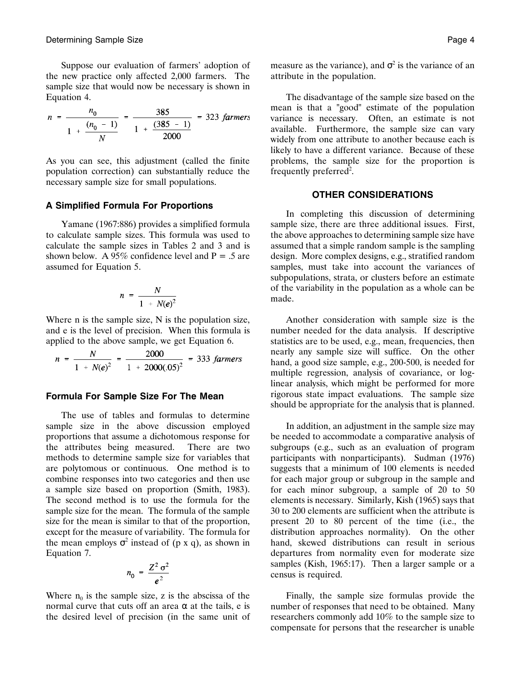Suppose our evaluation of farmers' adoption of the new practice only affected 2,000 farmers. The sample size that would now be necessary is shown in Equation 4.

$$
n = \frac{n_0}{1 + \frac{(n_0 - 1)}{N}} = \frac{385}{1 + \frac{(385 - 1)}{2000}} = 323 \text{ farmers}
$$

As you can see, this adjustment (called the finite population correction) can substantially reduce the necessary sample size for small populations.

#### **A Simplified Formula For Proportions**

Yamane (1967:886) provides a simplified formula to calculate sample sizes. This formula was used to calculate the sample sizes in Tables 2 and 3 and is shown below. A 95% confidence level and  $P = .5$  are assumed for Equation 5.

$$
n = \frac{N}{1 + N(e)^2}
$$

Where n is the sample size, N is the population size, and e is the level of precision. When this formula is applied to the above sample, we get Equation 6.

$$
n = \frac{N}{1 + N(e)^2} = \frac{2000}{1 + 2000(.05)^2} = 333 \text{ farmers}
$$

#### **Formula For Sample Size For The Mean**

The use of tables and formulas to determine sample size in the above discussion employed proportions that assume a dichotomous response for the attributes being measured. There are two methods to determine sample size for variables that are polytomous or continuous. One method is to combine responses into two categories and then use a sample size based on proportion (Smith, 1983). The second method is to use the formula for the sample size for the mean. The formula of the sample size for the mean is similar to that of the proportion, except for the measure of variability. The formula for the mean employs  $\sigma^2$  instead of (p x q), as shown in Equation 7.

$$
n_0 = \frac{Z^2 \sigma^2}{e^2}
$$

Where  $n_0$  is the sample size, z is the abscissa of the normal curve that cuts off an area  $\alpha$  at the tails, e is the desired level of precision (in the same unit of measure as the variance), and  $\sigma^2$  is the variance of an attribute in the population.

The disadvantage of the sample size based on the mean is that a "good" estimate of the population variance is necessary. Often, an estimate is not available. Furthermore, the sample size can vary widely from one attribute to another because each is likely to have a different variance. Because of these problems, the sample size for the proportion is frequently preferred<sup>2</sup>.

#### **OTHER CONSIDERATIONS**

In completing this discussion of determining sample size, there are three additional issues. First, the above approaches to determining sample size have assumed that a simple random sample is the sampling design. More complex designs, e.g., stratified random samples, must take into account the variances of subpopulations, strata, or clusters before an estimate of the variability in the population as a whole can be made.

Another consideration with sample size is the number needed for the data analysis. If descriptive statistics are to be used, e.g., mean, frequencies, then nearly any sample size will suffice. On the other hand, a good size sample, e.g., 200-500, is needed for multiple regression, analysis of covariance, or loglinear analysis, which might be performed for more rigorous state impact evaluations. The sample size should be appropriate for the analysis that is planned.

In addition, an adjustment in the sample size may be needed to accommodate a comparative analysis of subgroups (e.g., such as an evaluation of program participants with nonparticipants). Sudman (1976) suggests that a minimum of 100 elements is needed for each major group or subgroup in the sample and for each minor subgroup, a sample of 20 to 50 elements is necessary. Similarly, Kish (1965) says that 30 to 200 elements are sufficient when the attribute is present 20 to 80 percent of the time (i.e., the distribution approaches normality). On the other hand, skewed distributions can result in serious departures from normality even for moderate size samples (Kish, 1965:17). Then a larger sample or a census is required.

Finally, the sample size formulas provide the number of responses that need to be obtained. Many researchers commonly add 10% to the sample size to compensate for persons that the researcher is unable